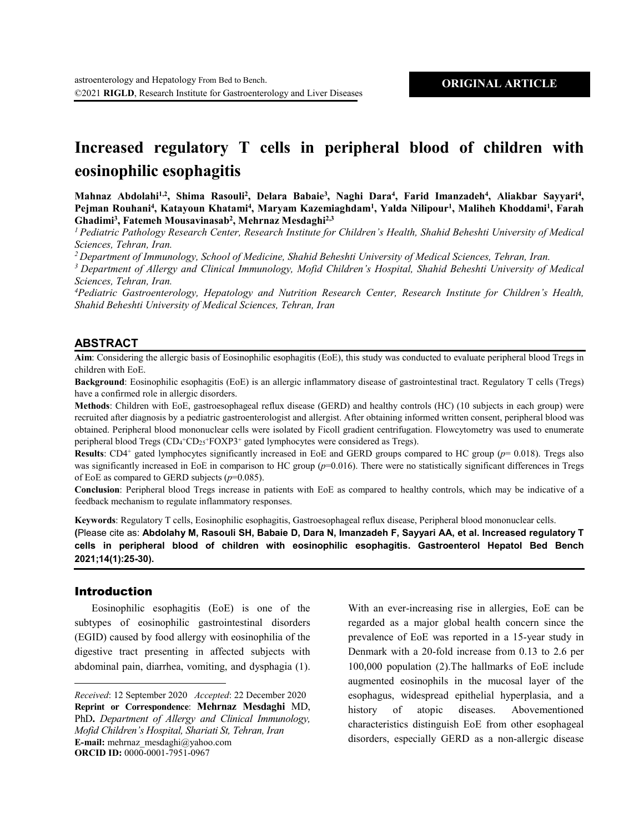# **Increased regulatory T cells in peripheral blood of children with eosinophilic esophagitis**

Mahnaz Abdolahi<sup>1,2</sup>, Shima Rasouli<sup>2</sup>, Delara Babaie<sup>3</sup>, Naghi Dara<sup>4</sup>, Farid Imanzadeh<sup>4</sup>, Aliakbar Sayyari<sup>4</sup>, Pejman Rouhani<sup>4</sup>, Katayoun Khatami<sup>4</sup>, Maryam Kazemiaghdam<sup>1</sup>, Yalda Nilipour<sup>1</sup>, Maliheh Khoddami<sup>1</sup>, Farah **Ghadimi3 , Fatemeh Mousavinasab2 , Mehrnaz Mesdaghi2,3**

*1 Pediatric Pathology Research Center, Research Institute for Children's Health, Shahid Beheshti University of Medical Sciences, Tehran, Iran.* 

*2 Department of Immunology, School of Medicine, Shahid Beheshti University of Medical Sciences, Tehran, Iran.* 

*<sup>3</sup> Department of Allergy and Clinical Immunology, Mofid Children's Hospital, Shahid Beheshti University of Medical Sciences, Tehran, Iran.* 

*4 Pediatric Gastroenterology, Hepatology and Nutrition Research Center, Research Institute for Children's Health, Shahid Beheshti University of Medical Sciences, Tehran, Iran*

### **ABSTRACT**

**Aim**: Considering the allergic basis of Eosinophilic esophagitis (EoE), this study was conducted to evaluate peripheral blood Tregs in children with EoE.

**Background**: Eosinophilic esophagitis (EoE) is an allergic inflammatory disease of gastrointestinal tract. Regulatory T cells (Tregs) have a confirmed role in allergic disorders.

**Methods**: Children with EoE, gastroesophageal reflux disease (GERD) and healthy controls (HC) (10 subjects in each group) were recruited after diagnosis by a pediatric gastroenterologist and allergist. After obtaining informed written consent, peripheral blood was obtained. Peripheral blood mononuclear cells were isolated by Ficoll gradient centrifugation. Flowcytometry was used to enumerate peripheral blood Tregs (CD<sub>4</sub><sup>+</sup>CD<sub>25</sub><sup>+</sup>FOXP3<sup>+</sup> gated lymphocytes were considered as Tregs).

**Results**: CD4+ gated lymphocytes significantly increased in EoE and GERD groups compared to HC group (*p*= 0.018). Tregs also was significantly increased in EoE in comparison to HC group ( $p=0.016$ ). There were no statistically significant differences in Tregs of EoE as compared to GERD subjects (*p*=0.085).

**Conclusion**: Peripheral blood Tregs increase in patients with EoE as compared to healthy controls, which may be indicative of a feedback mechanism to regulate inflammatory responses.

**Keywords**: Regulatory T cells, Eosinophilic esophagitis, Gastroesophageal reflux disease, Peripheral blood mononuclear cells.

**(**Please cite as: **Abdolahy M, Rasouli SH, Babaie D, Dara N, Imanzadeh F, Sayyari AA, et al. Increased regulatory T cells in peripheral blood of children with eosinophilic esophagitis. Gastroenterol Hepatol Bed Bench 2021;14(1):25-30).**

#### Introduction

 $\overline{a}$ 

Eosinophilic esophagitis (EoE) is one of the subtypes of eosinophilic gastrointestinal disorders (EGID) caused by food allergy with eosinophilia of the digestive tract presenting in affected subjects with abdominal pain, diarrhea, vomiting, and dysphagia (1). With an ever-increasing rise in allergies, EoE can be regarded as a major global health concern since the prevalence of EoE was reported in a 15-year study in Denmark with a 20-fold increase from 0.13 to 2.6 per 100,000 population (2).The hallmarks of EoE include augmented eosinophils in the mucosal layer of the esophagus, widespread epithelial hyperplasia, and a history of atopic diseases. Abovementioned characteristics distinguish EoE from other esophageal disorders, especially GERD as a non-allergic disease

*Received*: 12 September 2020 *Accepted*: 22 December 2020 **Reprint or Correspondence**: **Mehrnaz Mesdaghi** MD, PhD**.** *Department of Allergy and Clinical Immunology, Mofid Children's Hospital, Shariati St, Tehran, Iran* **E-mail:** mehrnaz\_mesdaghi@yahoo.com **ORCID ID:** 0000-0001-7951-0967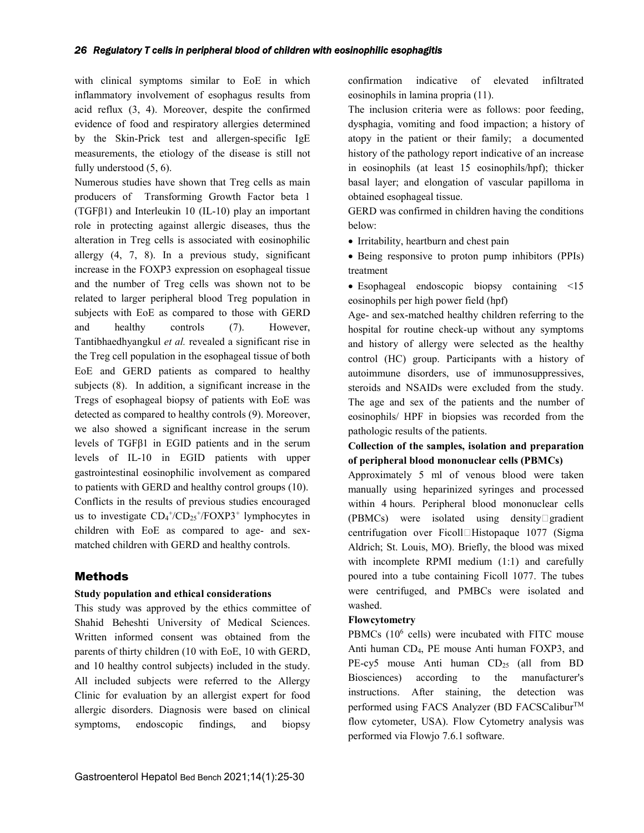with clinical symptoms similar to EoE in which inflammatory involvement of esophagus results from acid reflux (3, 4). Moreover, despite the confirmed evidence of food and respiratory allergies determined by the Skin-Prick test and allergen-specific IgE measurements, the etiology of the disease is still not fully understood (5, 6).

Numerous studies have shown that Treg cells as main producers of Transforming Growth Factor beta 1 (TGFβ1) and Interleukin 10 (IL-10) play an important role in protecting against allergic diseases, thus the alteration in Treg cells is associated with eosinophilic allergy (4, 7, 8). In a previous study, significant increase in the FOXP3 expression on esophageal tissue and the number of Treg cells was shown not to be related to larger peripheral blood Treg population in subjects with EoE as compared to those with GERD and healthy controls (7). However, Tantibhaedhyangkul *et al.* revealed a significant rise in the Treg cell population in the esophageal tissue of both EoE and GERD patients as compared to healthy subjects (8). In addition, a significant increase in the Tregs of esophageal biopsy of patients with EoE was detected as compared to healthy controls (9). Moreover, we also showed a significant increase in the serum levels of TGFβ1 in EGID patients and in the serum levels of IL-10 in EGID patients with upper gastrointestinal eosinophilic involvement as compared to patients with GERD and healthy control groups (10). Conflicts in the results of previous studies encouraged us to investigate  $CD_4$ <sup>+</sup>/ $CD_{25}$ <sup>+</sup>/FOXP3<sup>+</sup> lymphocytes in children with EoE as compared to age- and sexmatched children with GERD and healthy controls.

# Methods

## **Study population and ethical considerations**

This study was approved by the ethics committee of Shahid Beheshti University of Medical Sciences. Written informed consent was obtained from the parents of thirty children (10 with EoE, 10 with GERD, and 10 healthy control subjects) included in the study. All included subjects were referred to the Allergy Clinic for evaluation by an allergist expert for food allergic disorders. Diagnosis were based on clinical symptoms, endoscopic findings, and biopsy

confirmation indicative of elevated infiltrated eosinophils in lamina propria (11).

The inclusion criteria were as follows: poor feeding, dysphagia, vomiting and food impaction; a history of atopy in the patient or their family; a documented history of the pathology report indicative of an increase in eosinophils (at least 15 eosinophils/hpf); thicker basal layer; and elongation of vascular papilloma in obtained esophageal tissue.

GERD was confirmed in children having the conditions below:

• Irritability, heartburn and chest pain

• Being responsive to proton pump inhibitors (PPIs) treatment

• Esophageal endoscopic biopsy containing  $\leq 15$ eosinophils per high power field (hpf)

Age- and sex-matched healthy children referring to the hospital for routine check-up without any symptoms and history of allergy were selected as the healthy control (HC) group. Participants with a history of autoimmune disorders, use of immunosuppressives, steroids and NSAIDs were excluded from the study. The age and sex of the patients and the number of eosinophils/ HPF in biopsies was recorded from the pathologic results of the patients.

# **Collection of the samples, isolation and preparation of peripheral blood mononuclear cells (PBMCs)**

Approximately 5 ml of venous blood were taken manually using heparinized syringes and processed within 4 hours. Peripheral blood mononuclear cells (PBMCs) were isolated using density gradient centrifugation over Ficoll $\Box$ Histopaque 1077 (Sigma Aldrich; St. Louis, MO). Briefly, the blood was mixed with incomplete RPMI medium (1:1) and carefully poured into a tube containing Ficoll 1077. The tubes were centrifuged, and PMBCs were isolated and washed.

# **Flowcytometry**

PBMCs (10<sup>6</sup> cells) were incubated with FITC mouse Anti human CD4, PE mouse Anti human FOXP3, and PE-cy5 mouse Anti human CD<sub>25</sub> (all from BD Biosciences) according to the manufacturer's instructions. After staining, the detection was performed using FACS Analyzer (BD FACSCalibur™ flow cytometer, USA). Flow Cytometry analysis was performed via Flowjo 7.6.1 software.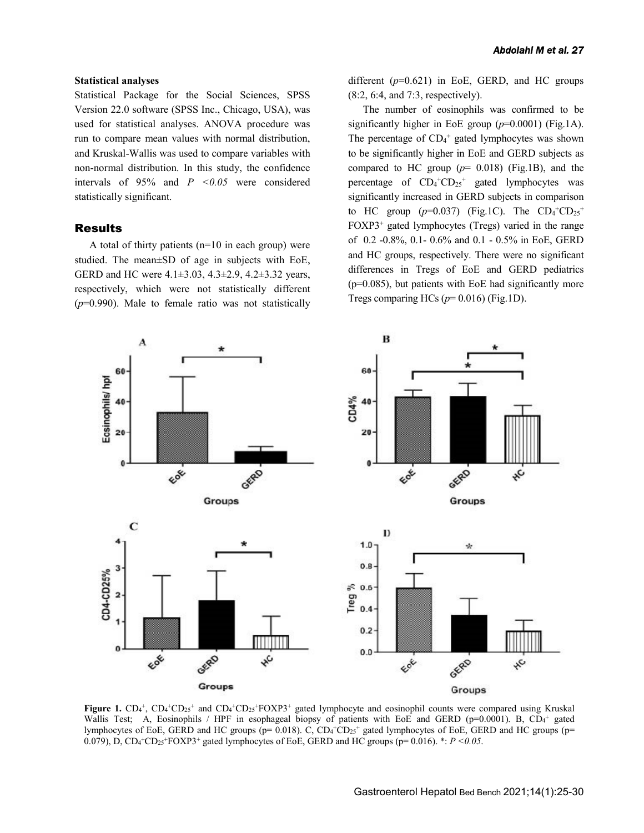#### **Statistical analyses**

Statistical Package for the Social Sciences, SPSS Version 22.0 software (SPSS Inc., Chicago, USA), was used for statistical analyses. ANOVA procedure was run to compare mean values with normal distribution, and Kruskal-Wallis was used to compare variables with non-normal distribution. In this study, the confidence intervals of  $95\%$  and  $P \leq 0.05$  were considered statistically significant.

#### Results

A total of thirty patients (n=10 in each group) were studied. The mean±SD of age in subjects with EoE, GERD and HC were 4.1±3.03, 4.3±2.9, 4.2±3.32 years, respectively, which were not statistically different (*p*=0.990). Male to female ratio was not statistically different  $(p=0.621)$  in EoE, GERD, and HC groups (8:2, 6:4, and 7:3, respectively).

The number of eosinophils was confirmed to be significantly higher in EoE group (*p*=0.0001) (Fig.1A). The percentage of  $CD_4$ <sup>+</sup> gated lymphocytes was shown to be significantly higher in EoE and GERD subjects as compared to HC group  $(p= 0.018)$  (Fig.1B), and the percentage of  $CD_4$ <sup>+</sup> $CD_{25}$ <sup>+</sup> gated lymphocytes was significantly increased in GERD subjects in comparison to HC group ( $p=0.037$ ) (Fig.1C). The  $CD_4$ <sup>+</sup>CD<sub>25</sub><sup>+</sup> FOXP3+ gated lymphocytes (Tregs) varied in the range of 0.2 -0.8%, 0.1- 0.6% and 0.1 - 0.5% in EoE, GERD and HC groups, respectively. There were no significant differences in Tregs of EoE and GERD pediatrics (p=0.085), but patients with EoE had significantly more Tregs comparing HCs  $(p=0.016)$  (Fig.1D).



Figure 1. CD<sub>4</sub><sup>+</sup>, CD<sub>4</sub><sup>+</sup>CD<sub>25</sub><sup>+</sup> and CD<sub>4</sub><sup>+</sup>CD<sub>25</sub><sup>+</sup>FOXP3<sup>+</sup> gated lymphocyte and eosinophil counts were compared using Kruskal Wallis Test; A, Eosinophils / HPF in esophageal biopsy of patients with EoE and GERD ( $p=0.0001$ ). B, CD<sub>4</sub><sup>+</sup> gated lymphocytes of EoE, GERD and HC groups (p= 0.018). C, CD<sub>4</sub><sup>+</sup>CD<sub>25</sub><sup>+</sup> gated lymphocytes of EoE, GERD and HC groups (p= 0.079), D,  $CD_4$ <sup>+</sup> $CD_2$ <sup>+</sup> $FOX$ P3<sup>+</sup> gated lymphocytes of EoE, GERD and HC groups (p= 0.016). \*:  $P < 0.05$ .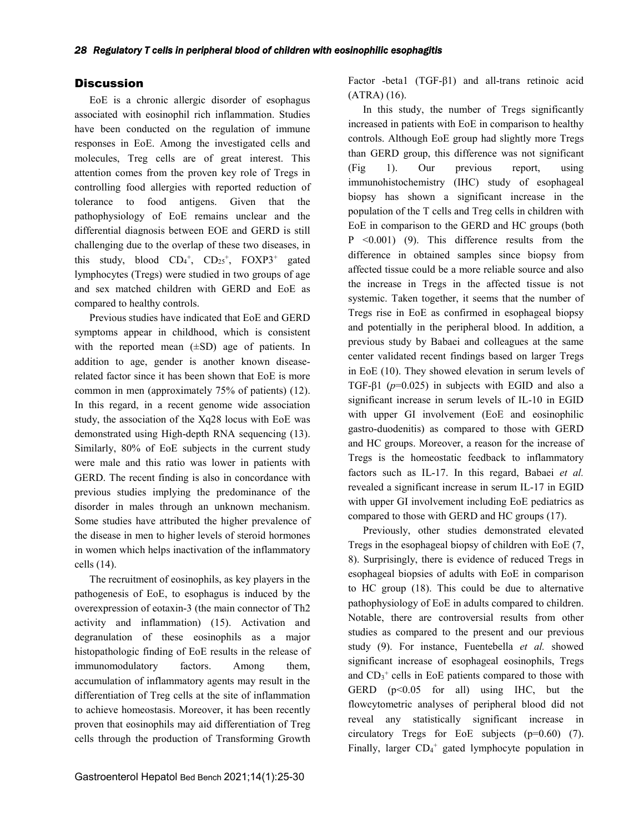# **Discussion**

EoE is a chronic allergic disorder of esophagus associated with eosinophil rich inflammation. Studies have been conducted on the regulation of immune responses in EoE. Among the investigated cells and molecules, Treg cells are of great interest. This attention comes from the proven key role of Tregs in controlling food allergies with reported reduction of tolerance to food antigens. Given that the pathophysiology of EoE remains unclear and the differential diagnosis between EOE and GERD is still challenging due to the overlap of these two diseases, in this study, blood  $CD_4^+$ ,  $CD_{25}^+$ ,  $FOXP3^+$  gated lymphocytes (Tregs) were studied in two groups of age and sex matched children with GERD and EoE as compared to healthy controls.

Previous studies have indicated that EoE and GERD symptoms appear in childhood, which is consistent with the reported mean  $(\pm SD)$  age of patients. In addition to age, gender is another known diseaserelated factor since it has been shown that EoE is more common in men (approximately 75% of patients) (12). In this regard, in a recent genome wide association study, the association of the Xq28 locus with EoE was demonstrated using High-depth RNA sequencing (13). Similarly, 80% of EoE subjects in the current study were male and this ratio was lower in patients with GERD. The recent finding is also in concordance with previous studies implying the predominance of the disorder in males through an unknown mechanism. Some studies have attributed the higher prevalence of the disease in men to higher levels of steroid hormones in women which helps inactivation of the inflammatory cells (14).

The recruitment of eosinophils, as key players in the pathogenesis of EoE, to esophagus is induced by the overexpression of eotaxin-3 (the main connector of Th2 activity and inflammation) (15). Activation and degranulation of these eosinophils as a major histopathologic finding of EoE results in the release of immunomodulatory factors. Among them, accumulation of inflammatory agents may result in the differentiation of Treg cells at the site of inflammation to achieve homeostasis. Moreover, it has been recently proven that eosinophils may aid differentiation of Treg cells through the production of Transforming Growth

Factor -beta1 (TGF-β1) and all-trans retinoic acid (ATRA) (16).

In this study, the number of Tregs significantly increased in patients with EoE in comparison to healthy controls. Although EoE group had slightly more Tregs than GERD group, this difference was not significant (Fig 1). Our previous report, using immunohistochemistry (IHC) study of esophageal biopsy has shown a significant increase in the population of the T cells and Treg cells in children with EoE in comparison to the GERD and HC groups (both P <0.001) (9). This difference results from the difference in obtained samples since biopsy from affected tissue could be a more reliable source and also the increase in Tregs in the affected tissue is not systemic. Taken together, it seems that the number of Tregs rise in EoE as confirmed in esophageal biopsy and potentially in the peripheral blood. In addition, a previous study by Babaei and colleagues at the same center validated recent findings based on larger Tregs in EoE (10). They showed elevation in serum levels of TGF-β1 (*p*=0.025) in subjects with EGID and also a significant increase in serum levels of IL-10 in EGID with upper GI involvement (EoE and eosinophilic gastro-duodenitis) as compared to those with GERD and HC groups. Moreover, a reason for the increase of Tregs is the homeostatic feedback to inflammatory factors such as IL-17. In this regard, Babaei *et al.*  revealed a significant increase in serum IL-17 in EGID with upper GI involvement including EoE pediatrics as compared to those with GERD and HC groups (17).

Previously, other studies demonstrated elevated Tregs in the esophageal biopsy of children with EoE (7, 8). Surprisingly, there is evidence of reduced Tregs in esophageal biopsies of adults with EoE in comparison to HC group (18). This could be due to alternative pathophysiology of EoE in adults compared to children. Notable, there are controversial results from other studies as compared to the present and our previous study (9). For instance, Fuentebella *et al.* showed significant increase of esophageal eosinophils, Tregs and  $CD_3$ <sup>+</sup> cells in EoE patients compared to those with GERD  $(p<0.05$  for all) using IHC, but the flowcytometric analyses of peripheral blood did not reveal any statistically significant increase in circulatory Tregs for EoE subjects (p=0.60) (7). Finally, larger  $CD_4$ <sup>+</sup> gated lymphocyte population in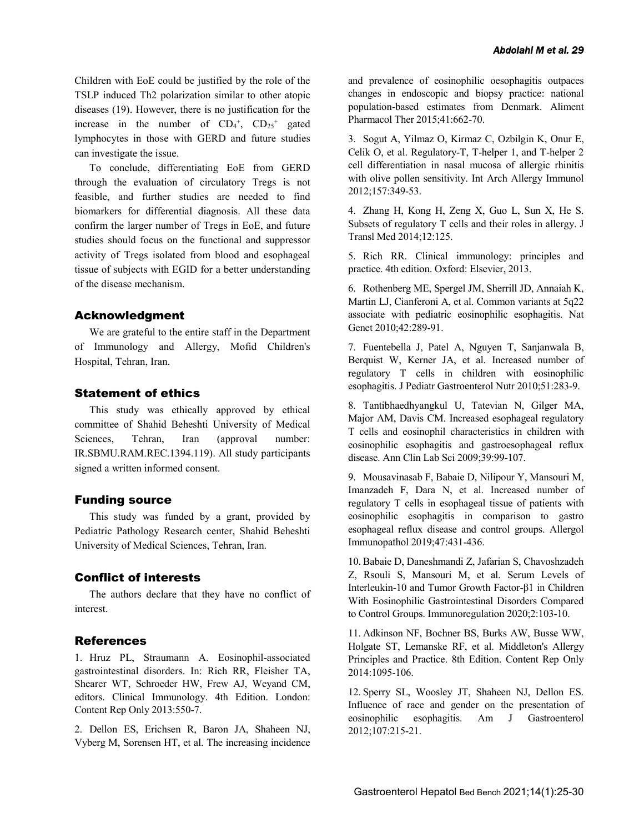Children with EoE could be justified by the role of the TSLP induced Th2 polarization similar to other atopic diseases (19). However, there is no justification for the increase in the number of  $CD_4^+$ ,  $CD_{25}^+$  gated lymphocytes in those with GERD and future studies can investigate the issue.

To conclude, differentiating EoE from GERD through the evaluation of circulatory Tregs is not feasible, and further studies are needed to find biomarkers for differential diagnosis. All these data confirm the larger number of Tregs in EoE, and future studies should focus on the functional and suppressor activity of Tregs isolated from blood and esophageal tissue of subjects with EGID for a better understanding of the disease mechanism.

## Acknowledgment

We are grateful to the entire staff in the Department of Immunology and Allergy, Mofid Children's Hospital, Tehran, Iran.

# Statement of ethics

This study was ethically approved by ethical committee of Shahid Beheshti University of Medical Sciences, Tehran, Iran (approval number: IR.SBMU.RAM.REC.1394.119). All study participants signed a written informed consent.

## Funding source

This study was funded by a grant, provided by Pediatric Pathology Research center, Shahid Beheshti University of Medical Sciences, Tehran, Iran.

## Conflict of interests

The authors declare that they have no conflict of interest.

## References

1. Hruz PL, Straumann A. Eosinophil-associated gastrointestinal disorders. In: Rich RR, Fleisher TA, Shearer WT, Schroeder HW, Frew AJ, Weyand CM, editors. Clinical Immunology. 4th Edition. London: Content Rep Only 2013:550-7.

2. Dellon ES, Erichsen R, Baron JA, Shaheen NJ, Vyberg M, Sorensen HT, et al. The increasing incidence and prevalence of eosinophilic oesophagitis outpaces changes in endoscopic and biopsy practice: national population-based estimates from Denmark. Aliment Pharmacol Ther 2015;41:662-70.

3. Sogut A, Yilmaz O, Kirmaz C, Ozbilgin K, Onur E, Celik O, et al. Regulatory-T, T-helper 1, and T-helper 2 cell differentiation in nasal mucosa of allergic rhinitis with olive pollen sensitivity. Int Arch Allergy Immunol 2012;157:349-53.

4. Zhang H, Kong H, Zeng X, Guo L, Sun X, He S. Subsets of regulatory T cells and their roles in allergy. J Transl Med 2014;12:125.

5. Rich RR. Clinical immunology: principles and practice. 4th edition. Oxford: Elsevier, 2013.

6. Rothenberg ME, Spergel JM, Sherrill JD, Annaiah K, Martin LJ, Cianferoni A, et al. Common variants at 5q22 associate with pediatric eosinophilic esophagitis. Nat Genet 2010;42:289-91.

7. Fuentebella J, Patel A, Nguyen T, Sanjanwala B, Berquist W, Kerner JA, et al. Increased number of regulatory T cells in children with eosinophilic esophagitis. J Pediatr Gastroenterol Nutr 2010;51:283-9.

8. Tantibhaedhyangkul U, Tatevian N, Gilger MA, Major AM, Davis CM. Increased esophageal regulatory T cells and eosinophil characteristics in children with eosinophilic esophagitis and gastroesophageal reflux disease. Ann Clin Lab Sci 2009;39:99-107.

9. Mousavinasab F, Babaie D, Nilipour Y, Mansouri M, Imanzadeh F, Dara N, et al. Increased number of regulatory T cells in esophageal tissue of patients with eosinophilic esophagitis in comparison to gastro esophageal reflux disease and control groups. Allergol Immunopathol 2019;47:431-436.

10. Babaie D, Daneshmandi Z, Jafarian S, Chavoshzadeh Z, Rsouli S, Mansouri M, et al. Serum Levels of Interleukin-10 and Tumor Growth Factor-β1 in Children With Eosinophilic Gastrointestinal Disorders Compared to Control Groups. Immunoregulation 2020;2:103-10.

11. Adkinson NF, Bochner BS, Burks AW, Busse WW, Holgate ST, Lemanske RF, et al. Middleton's Allergy Principles and Practice. 8th Edition. Content Rep Only 2014:1095-106.

12. Sperry SL, Woosley JT, Shaheen NJ, Dellon ES. Influence of race and gender on the presentation of eosinophilic esophagitis. Am J Gastroenterol 2012;107:215-21.